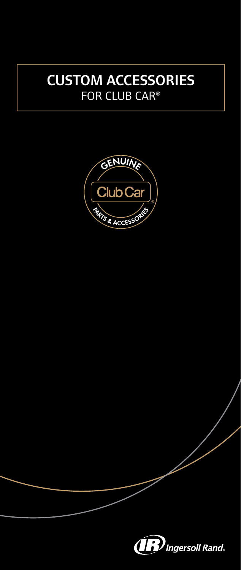# CUSTOM ACCESSORIES FOR CLUB CAR®



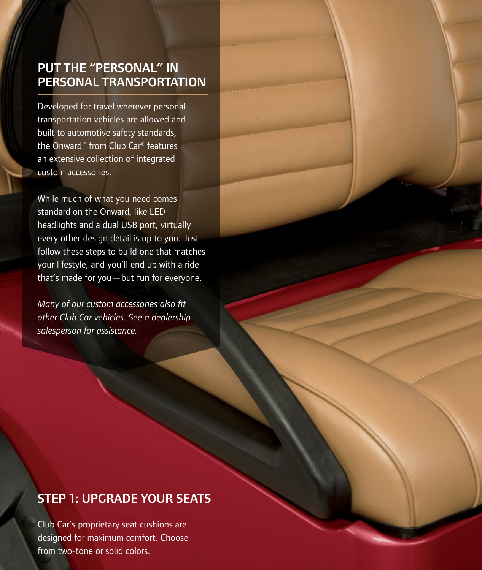## PUT THE "PERSONAL" IN PERSONAL TRANSPORTATION

Developed for travel wherever personal transportation vehicles are allowed and built to automotive safety standards, the Onward™ from Club Car® features an extensive collection of integrated custom accessories.

While much of what you need comes standard on the Onward, like LED headlights and a dual USB port, virtually every other design detail is up to you. Just follow these steps to build one that matches your lifestyle, and you'll end up with a ride that's made for you—but fun for everyone.

*Many of our custom accessories also fit other Club Car vehicles. See a dealership salesperson for assistance.*

## STEP 1: UPGRADE YOUR SEATS

Club Car's proprietary seat cushions are designed for maximum comfort. Choose from two-tone or solid colors.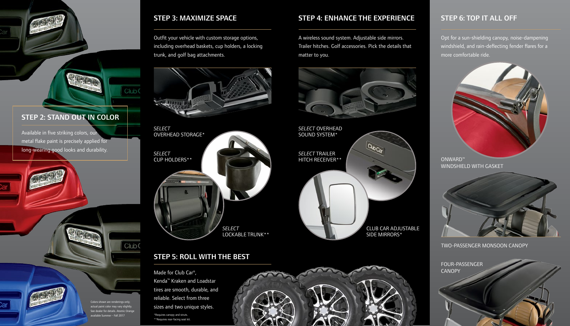Colors shown are renderings only actual paint color may vary slightly. See dealer for details. Atomic Orange available Summer - Fall 2017

Club<sub>C</sub>

Club C

Opt for a sun-shielding canopy, noise-dampening windshield, and rain-deflecting fender flares for a more comfortable ride.

A wireless sound system. Adjustable side mirrors. Trailer hitches. Golf accessories. Pick the details that matter to you.



**QubCar** CLUB CAR ADJUSTABLE SIDE MIRRORS\*





Outfit your vehicle with custom storage options, including overhead baskets, cup holders, a locking trunk, and golf bag attachments.





*SELECT* TRAILER HITCH RECEIVER\*\* *SELECT* OVERHEAD SOUND SYSTEM\*

TWO-PASSENGER MONSOON CANOPY

*SELECT* CUP HOLDERS\*\* *SELECT* OVERHEAD STORAGE\* *SELECT* LOCKABLE TRUNK\*\*



CANOPY

Available in five striking colors, our

metal flake paint is precisely applied for long-wearing good looks and durability.

> Made for Club Car®, Kenda™ Kraken and Loadstar tires are smooth, durable, and reliable. Select from three sizes and two unique styles.

STEP 2: STAND OUT IN COLOR

# STEP 3: MAXIMIZE SPACE STEP 4: ENHANCE THE EXPERIENCE STEP 6: TOP IT ALL OFF

### STEP 5: ROLL WITH THE BEST

\*Requires canopy and struts. \*\*Requires rear-facing seat kit.